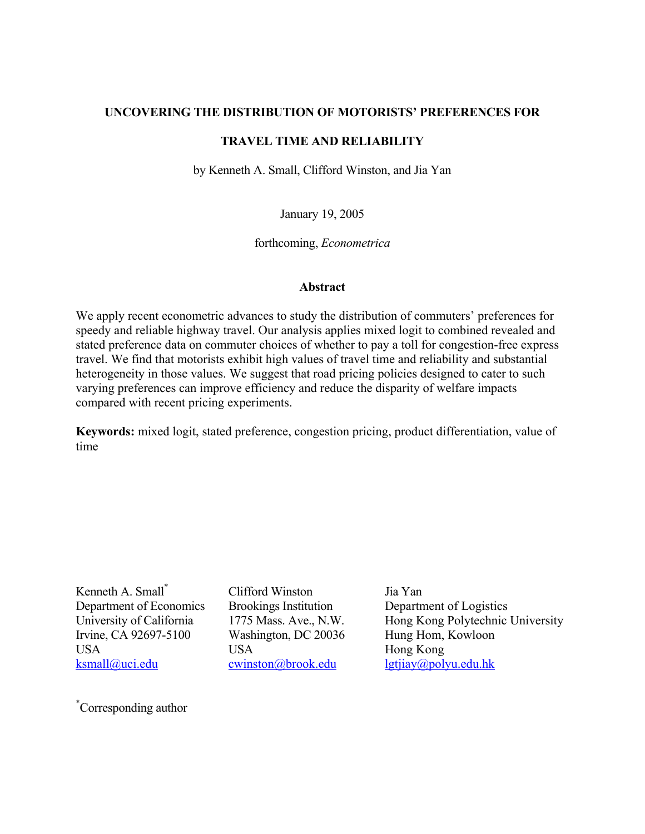## **UNCOVERING THE DISTRIBUTION OF MOTORISTS' PREFERENCES FOR**

## **TRAVEL TIME AND RELIABILITY**

by Kenneth A. Small, Clifford Winston, and Jia Yan

January 19, 2005

forthcoming, *Econometrica* 

### **Abstract**

We apply recent econometric advances to study the distribution of commuters' preferences for speedy and reliable highway travel. Our analysis applies mixed logit to combined revealed and stated preference data on commuter choices of whether to pay a toll for congestion-free express travel. We find that motorists exhibit high values of travel time and reliability and substantial heterogeneity in those values. We suggest that road pricing policies designed to cater to such varying preferences can improve efficiency and reduce the disparity of welfare impacts compared with recent pricing experiments.

**Keywords:** mixed logit, stated preference, congestion pricing, product differentiation, value of time

Kenneth A. Small\* Department of Economics University of California Irvine, CA 92697-5100 USA ksmall@uci.edu

Clifford Winston Brookings Institution 1775 Mass. Ave., N.W. Washington, DC 20036 USA cwinston@brook.edu

Jia Yan Department of Logistics Hong Kong Polytechnic University Hung Hom, Kowloon Hong Kong lgtjiay@polyu.edu.hk

\* Corresponding author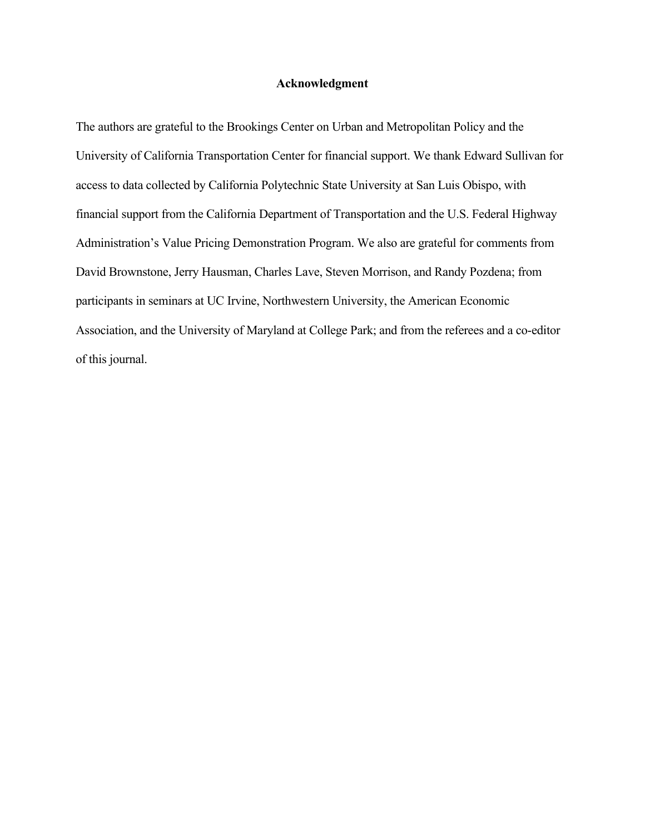#### **Acknowledgment**

The authors are grateful to the Brookings Center on Urban and Metropolitan Policy and the University of California Transportation Center for financial support. We thank Edward Sullivan for access to data collected by California Polytechnic State University at San Luis Obispo, with financial support from the California Department of Transportation and the U.S. Federal Highway Administration's Value Pricing Demonstration Program. We also are grateful for comments from David Brownstone, Jerry Hausman, Charles Lave, Steven Morrison, and Randy Pozdena; from participants in seminars at UC Irvine, Northwestern University, the American Economic Association, and the University of Maryland at College Park; and from the referees and a co-editor of this journal.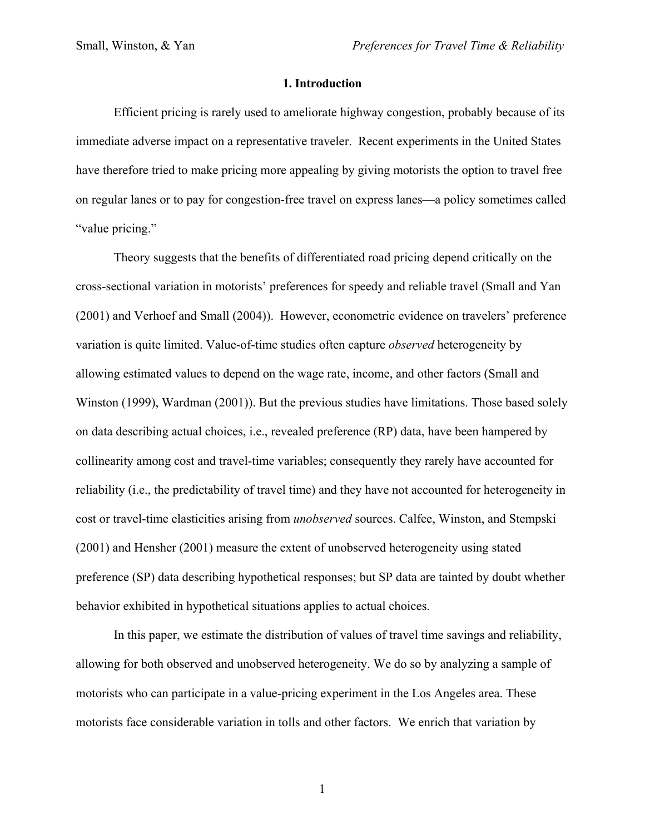### **1. Introduction**

Efficient pricing is rarely used to ameliorate highway congestion, probably because of its immediate adverse impact on a representative traveler. Recent experiments in the United States have therefore tried to make pricing more appealing by giving motorists the option to travel free on regular lanes or to pay for congestion-free travel on express lanes—a policy sometimes called "value pricing."

Theory suggests that the benefits of differentiated road pricing depend critically on the cross-sectional variation in motorists' preferences for speedy and reliable travel (Small and Yan (2001) and Verhoef and Small (2004)). However, econometric evidence on travelers' preference variation is quite limited. Value-of-time studies often capture *observed* heterogeneity by allowing estimated values to depend on the wage rate, income, and other factors (Small and Winston (1999), Wardman (2001)). But the previous studies have limitations. Those based solely on data describing actual choices, i.e., revealed preference (RP) data, have been hampered by collinearity among cost and travel-time variables; consequently they rarely have accounted for reliability (i.e., the predictability of travel time) and they have not accounted for heterogeneity in cost or travel-time elasticities arising from *unobserved* sources. Calfee, Winston, and Stempski (2001) and Hensher (2001) measure the extent of unobserved heterogeneity using stated preference (SP) data describing hypothetical responses; but SP data are tainted by doubt whether behavior exhibited in hypothetical situations applies to actual choices.

In this paper, we estimate the distribution of values of travel time savings and reliability, allowing for both observed and unobserved heterogeneity. We do so by analyzing a sample of motorists who can participate in a value-pricing experiment in the Los Angeles area. These motorists face considerable variation in tolls and other factors. We enrich that variation by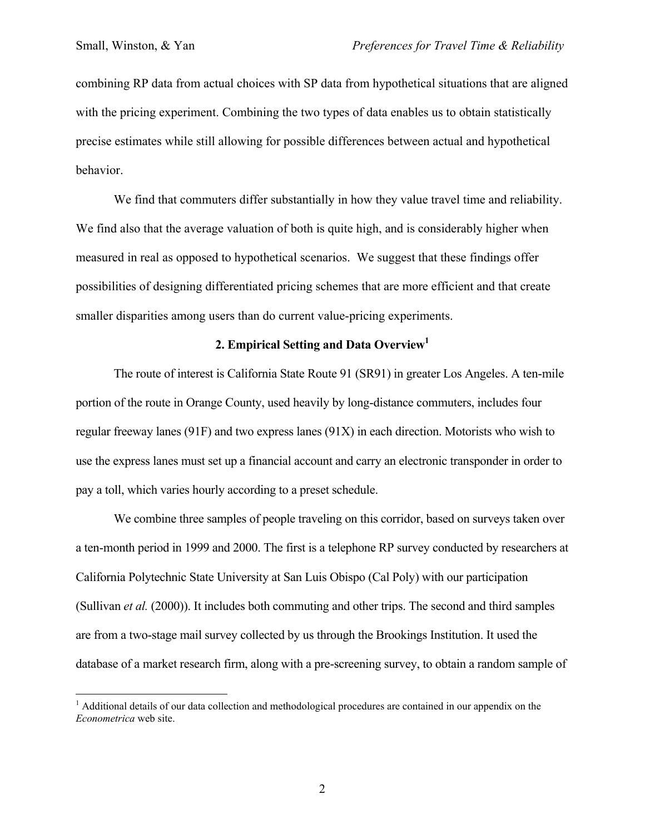$\overline{a}$ 

combining RP data from actual choices with SP data from hypothetical situations that are aligned with the pricing experiment. Combining the two types of data enables us to obtain statistically precise estimates while still allowing for possible differences between actual and hypothetical behavior.

We find that commuters differ substantially in how they value travel time and reliability. We find also that the average valuation of both is quite high, and is considerably higher when measured in real as opposed to hypothetical scenarios. We suggest that these findings offer possibilities of designing differentiated pricing schemes that are more efficient and that create smaller disparities among users than do current value-pricing experiments.

# **2. Empirical Setting and Data Overview1**

The route of interest is California State Route 91 (SR91) in greater Los Angeles. A ten-mile portion of the route in Orange County, used heavily by long-distance commuters, includes four regular freeway lanes (91F) and two express lanes (91X) in each direction. Motorists who wish to use the express lanes must set up a financial account and carry an electronic transponder in order to pay a toll, which varies hourly according to a preset schedule.

We combine three samples of people traveling on this corridor, based on surveys taken over a ten-month period in 1999 and 2000. The first is a telephone RP survey conducted by researchers at California Polytechnic State University at San Luis Obispo (Cal Poly) with our participation (Sullivan *et al.* (2000)). It includes both commuting and other trips. The second and third samples are from a two-stage mail survey collected by us through the Brookings Institution. It used the database of a market research firm, along with a pre-screening survey, to obtain a random sample of

<sup>&</sup>lt;sup>1</sup> Additional details of our data collection and methodological procedures are contained in our appendix on the *Econometrica* web site.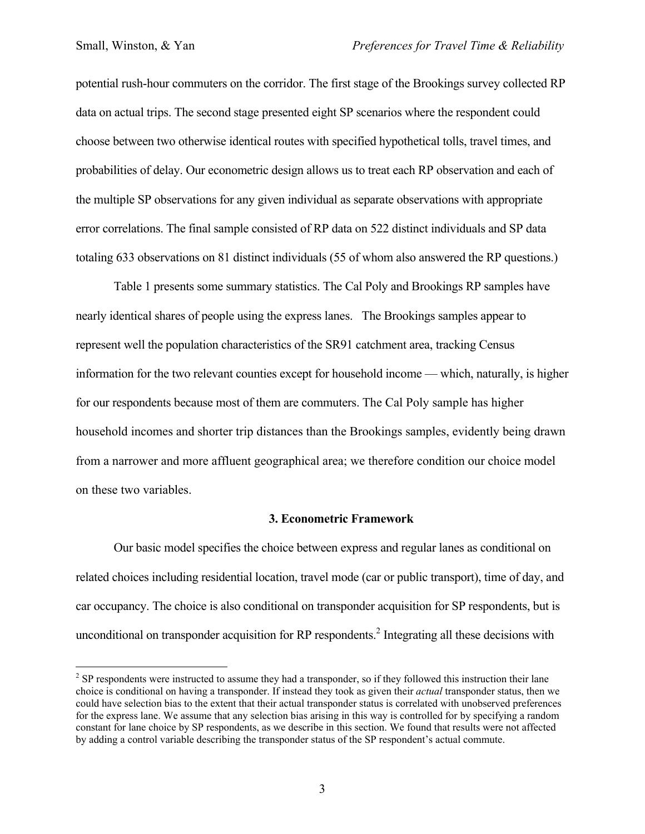<u>.</u>

potential rush-hour commuters on the corridor. The first stage of the Brookings survey collected RP data on actual trips. The second stage presented eight SP scenarios where the respondent could choose between two otherwise identical routes with specified hypothetical tolls, travel times, and probabilities of delay. Our econometric design allows us to treat each RP observation and each of the multiple SP observations for any given individual as separate observations with appropriate error correlations. The final sample consisted of RP data on 522 distinct individuals and SP data totaling 633 observations on 81 distinct individuals (55 of whom also answered the RP questions.)

Table 1 presents some summary statistics. The Cal Poly and Brookings RP samples have nearly identical shares of people using the express lanes. The Brookings samples appear to represent well the population characteristics of the SR91 catchment area, tracking Census information for the two relevant counties except for household income — which, naturally, is higher for our respondents because most of them are commuters. The Cal Poly sample has higher household incomes and shorter trip distances than the Brookings samples, evidently being drawn from a narrower and more affluent geographical area; we therefore condition our choice model on these two variables.

### **3. Econometric Framework**

Our basic model specifies the choice between express and regular lanes as conditional on related choices including residential location, travel mode (car or public transport), time of day, and car occupancy. The choice is also conditional on transponder acquisition for SP respondents, but is unconditional on transponder acquisition for RP respondents.<sup>2</sup> Integrating all these decisions with

 $2^2$  SP respondents were instructed to assume they had a transponder, so if they followed this instruction their lane choice is conditional on having a transponder. If instead they took as given their *actual* transponder status, then we could have selection bias to the extent that their actual transponder status is correlated with unobserved preferences for the express lane. We assume that any selection bias arising in this way is controlled for by specifying a random constant for lane choice by SP respondents, as we describe in this section. We found that results were not affected by adding a control variable describing the transponder status of the SP respondent's actual commute.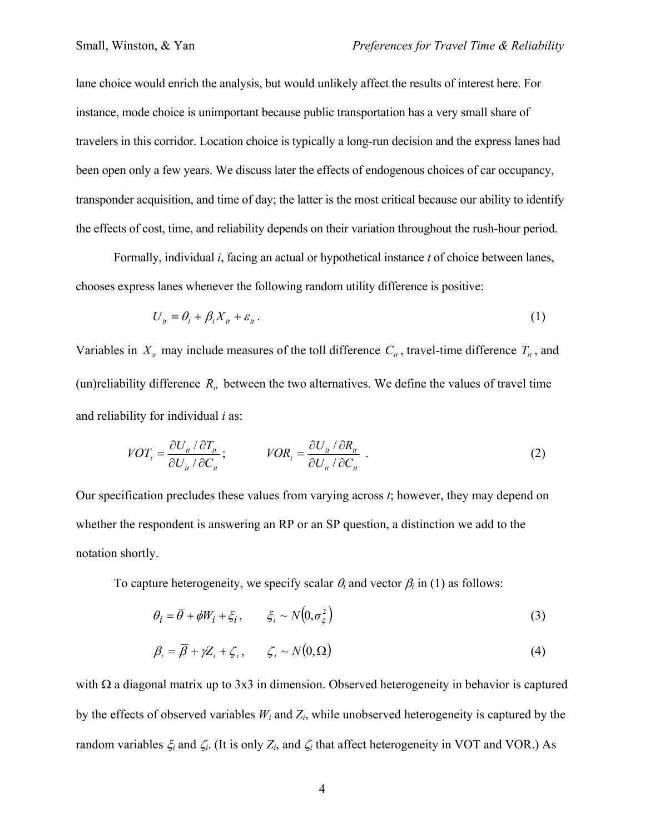lane choice would enrich the analysis, but would unlikely affect the results of interest here. For instance, mode choice is unimportant because public transportation has a very small share of travelers in this corridor. Location choice is typically a long-run decision and the express lanes had been open only a few years. We discuss later the effects of endogenous choices of car occupancy, transponder acquisition, and time of day; the latter is the most critical because our ability to identify the effects of cost, time, and reliability depends on their variation throughout the rush-hour period.

Formally, individual *i*, facing an actual or hypothetical instance *t* of choice between lanes, chooses express lanes whenever the following random utility difference is positive:

$$
U_{it} \equiv \theta_i + \beta_i X_{it} + \varepsilon_{it} \,. \tag{1}
$$

Variables in  $X_i$  may include measures of the toll difference  $C_i$ , travel-time difference  $T_i$ , and (un)reliability difference  $R_{it}$  between the two alternatives. We define the values of travel time and reliability for individual *i* as:

$$
VOT_i = \frac{\partial U_{ii} / \partial T_{ii}}{\partial U_{ii} / \partial C_{ii}}; \qquad VOR_i = \frac{\partial U_{ii} / \partial R_{ii}}{\partial U_{ii} / \partial C_{ii}}.
$$
 (2)

Our specification precludes these values from varying across *t*; however, they may depend on whether the respondent is answering an RP or an SP question, a distinction we add to the notation shortly.

To capture heterogeneity, we specify scalar  $\theta_i$  and vector  $\beta_i$  in (1) as follows:

$$
\theta_i = \overline{\theta} + \phi W_i + \xi_i, \qquad \xi_i \sim N(0, \sigma_{\xi}^2)
$$
 (3)

$$
\beta_i = \overline{\beta} + \gamma Z_i + \zeta_i, \qquad \zeta_i \sim N(0, \Omega) \tag{4}
$$

with  $\Omega$  a diagonal matrix up to 3x3 in dimension. Observed heterogeneity in behavior is captured by the effects of observed variables  $W_i$  and  $Z_i$ , while unobserved heterogeneity is captured by the random variables  $\xi$ <sub>*i*</sub> and  $\zeta$ <sup>*i*</sup>. (It is only  $Z$ <sup>*i*</sup>, and  $\zeta$ <sup>*i*</sup> that affect heterogeneity in VOT and VOR.) As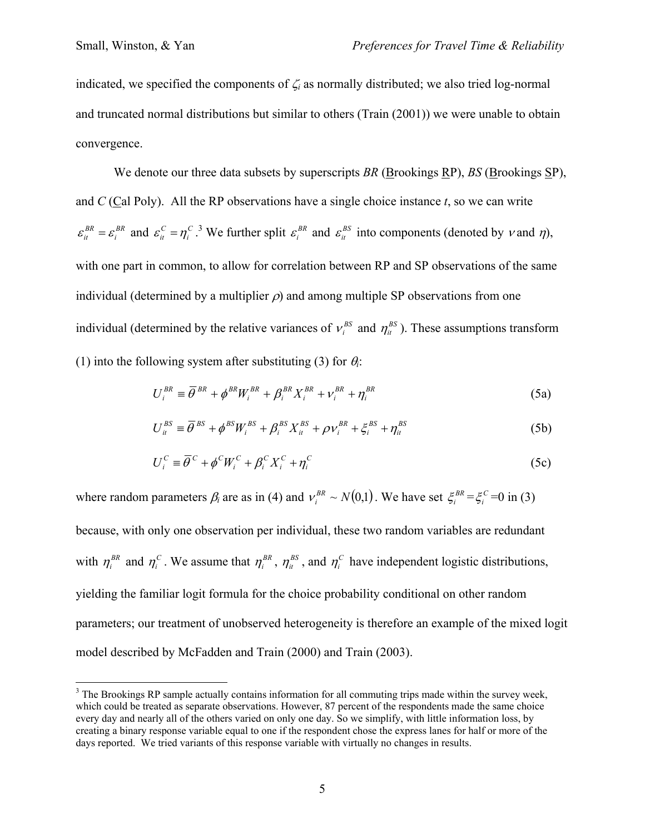indicated, we specified the components of ζ*i* as normally distributed; we also tried log-normal and truncated normal distributions but similar to others (Train (2001)) we were unable to obtain convergence.

 We denote our three data subsets by superscripts *BR* (Brookings RP), *BS* (Brookings SP), and *C* (Cal Poly). All the RP observations have a single choice instance *t*, so we can write *BR i*  $\varepsilon_i^{BR} = \varepsilon_i^{BR}$  and  $\varepsilon_i^C = \eta_i^C$ .<sup>3</sup> We further split  $\varepsilon_i^{BR}$  and  $\varepsilon_i^{BS}$  into components (denoted by v and  $\eta$ ), with one part in common, to allow for correlation between RP and SP observations of the same individual (determined by a multiplier  $\rho$ ) and among multiple SP observations from one individual (determined by the relative variances of  $v_i^{BS}$  and  $\eta_i^{BS}$ ). These assumptions transform (1) into the following system after substituting (3) for  $\theta_i$ :

$$
U_i^{BR} \equiv \overline{\theta}^{BR} + \phi^{BR} W_i^{BR} + \beta_i^{BR} X_i^{BR} + \nu_i^{BR} + \eta_i^{BR}
$$
(5a)

$$
U_{it}^{BS} \equiv \overline{\theta}^{BS} + \phi^{BS} W_i^{BS} + \beta_i^{BS} X_{it}^{BS} + \rho v_i^{BR} + \xi_i^{BS} + \eta_{it}^{BS}
$$
(5b)

$$
U_i^C \equiv \overline{\theta}^C + \phi^C W_i^C + \beta_i^C X_i^C + \eta_i^C
$$
 (5c)

where random parameters  $\beta_i$  are as in (4) and  $v_i^{BR} \sim N(0,1)$ . We have set  $\xi_i^{BR} = \xi_i^C = 0$  in (3) because, with only one observation per individual, these two random variables are redundant with  $\eta_i^{BR}$  and  $\eta_i^C$ . We assume that  $\eta_i^{BR}$ ,  $\eta_i^{BS}$ , and  $\eta_i^C$  have independent logistic distributions, yielding the familiar logit formula for the choice probability conditional on other random parameters; our treatment of unobserved heterogeneity is therefore an example of the mixed logit model described by McFadden and Train (2000) and Train (2003).

<sup>&</sup>lt;sup>3</sup> The Brookings RP sample actually contains information for all commuting trips made within the survey week, which could be treated as separate observations. However, 87 percent of the respondents made the same choice every day and nearly all of the others varied on only one day. So we simplify, with little information loss, by creating a binary response variable equal to one if the respondent chose the express lanes for half or more of the days reported. We tried variants of this response variable with virtually no changes in results.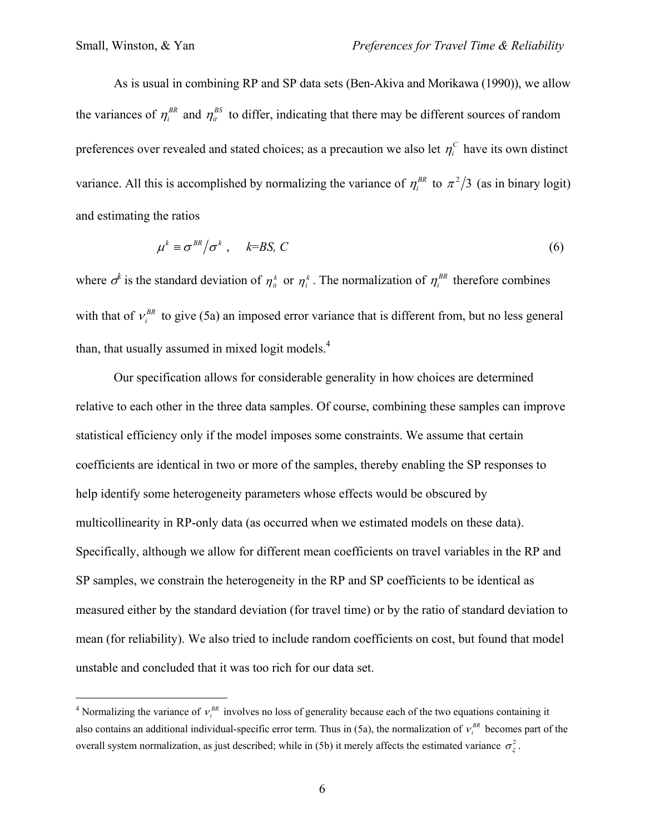$\overline{a}$ 

 As is usual in combining RP and SP data sets (Ben-Akiva and Morikawa (1990)), we allow the variances of  $\eta_i^{BR}$  and  $\eta_i^{BS}$  to differ, indicating that there may be different sources of random preferences over revealed and stated choices; as a precaution we also let  $\eta_i^c$  have its own distinct variance. All this is accomplished by normalizing the variance of  $\eta_i^{BR}$  to  $\pi^2/3$  (as in binary logit) and estimating the ratios

$$
\mu^k \equiv \sigma^{BR} / \sigma^k \ , \quad k = BS, C \tag{6}
$$

where  $\sigma^k$  is the standard deviation of  $\eta_i^k$  or  $\eta_i^k$ . The normalization of  $\eta_i^{BR}$  therefore combines with that of  $v_i^{BR}$  to give (5a) an imposed error variance that is different from, but no less general than, that usually assumed in mixed logit models.<sup>4</sup>

 Our specification allows for considerable generality in how choices are determined relative to each other in the three data samples. Of course, combining these samples can improve statistical efficiency only if the model imposes some constraints. We assume that certain coefficients are identical in two or more of the samples, thereby enabling the SP responses to help identify some heterogeneity parameters whose effects would be obscured by multicollinearity in RP-only data (as occurred when we estimated models on these data). Specifically, although we allow for different mean coefficients on travel variables in the RP and SP samples, we constrain the heterogeneity in the RP and SP coefficients to be identical as measured either by the standard deviation (for travel time) or by the ratio of standard deviation to mean (for reliability). We also tried to include random coefficients on cost, but found that model unstable and concluded that it was too rich for our data set.

<sup>&</sup>lt;sup>4</sup> Normalizing the variance of  $v_i^{BR}$  involves no loss of generality because each of the two equations containing it also contains an additional individual-specific error term. Thus in (5a), the normalization of  $v_i^{BR}$  becomes part of the overall system normalization, as just described; while in (5b) it merely affects the estimated variance  $\sigma_{\zeta}^2$ .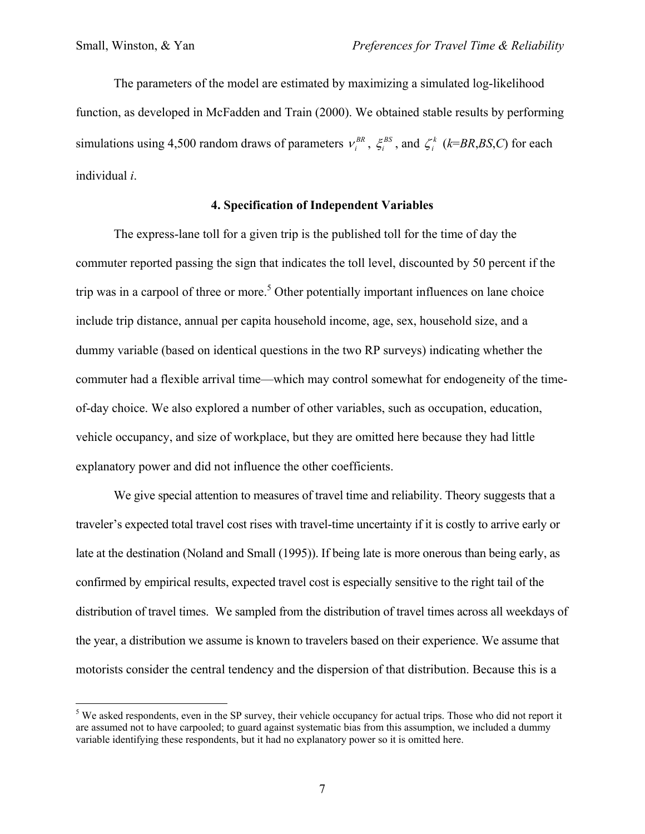<u>.</u>

 The parameters of the model are estimated by maximizing a simulated log-likelihood function, as developed in McFadden and Train (2000). We obtained stable results by performing simulations using 4,500 random draws of parameters  $v_i^{BR}$ ,  $\xi_i^{BS}$ , and  $\zeta_i^k$  ( $k=BR,BS,C$ ) for each individual *i*.

## **4. Specification of Independent Variables**

The express-lane toll for a given trip is the published toll for the time of day the commuter reported passing the sign that indicates the toll level, discounted by 50 percent if the trip was in a carpool of three or more.<sup>5</sup> Other potentially important influences on lane choice include trip distance, annual per capita household income, age, sex, household size, and a dummy variable (based on identical questions in the two RP surveys) indicating whether the commuter had a flexible arrival time—which may control somewhat for endogeneity of the timeof-day choice. We also explored a number of other variables, such as occupation, education, vehicle occupancy, and size of workplace, but they are omitted here because they had little explanatory power and did not influence the other coefficients.

We give special attention to measures of travel time and reliability. Theory suggests that a traveler's expected total travel cost rises with travel-time uncertainty if it is costly to arrive early or late at the destination (Noland and Small (1995)). If being late is more onerous than being early, as confirmed by empirical results, expected travel cost is especially sensitive to the right tail of the distribution of travel times. We sampled from the distribution of travel times across all weekdays of the year, a distribution we assume is known to travelers based on their experience. We assume that motorists consider the central tendency and the dispersion of that distribution. Because this is a

 $5$  We asked respondents, even in the SP survey, their vehicle occupancy for actual trips. Those who did not report it are assumed not to have carpooled; to guard against systematic bias from this assumption, we included a dummy variable identifying these respondents, but it had no explanatory power so it is omitted here.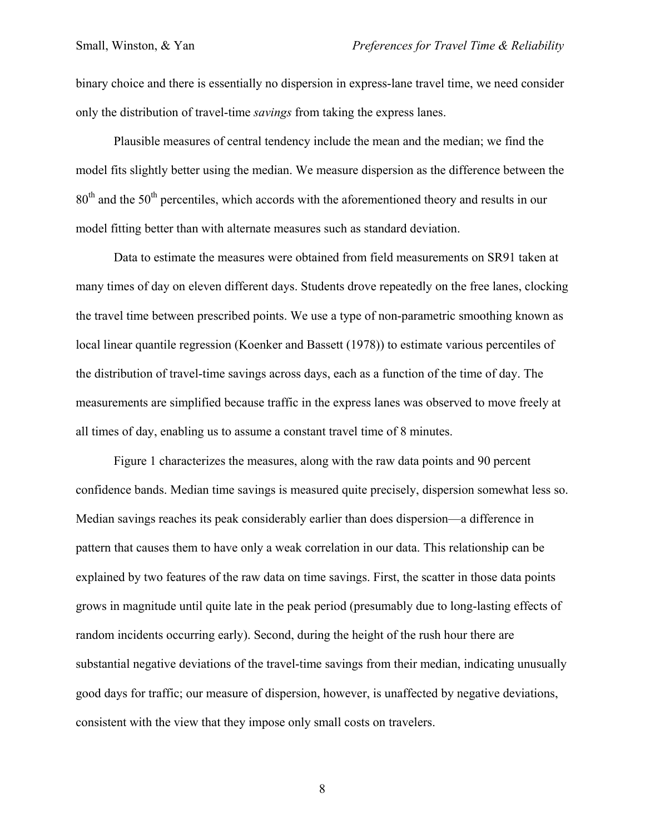binary choice and there is essentially no dispersion in express-lane travel time, we need consider only the distribution of travel-time *savings* from taking the express lanes.

Plausible measures of central tendency include the mean and the median; we find the model fits slightly better using the median. We measure dispersion as the difference between the  $80<sup>th</sup>$  and the 50<sup>th</sup> percentiles, which accords with the aforementioned theory and results in our model fitting better than with alternate measures such as standard deviation.

Data to estimate the measures were obtained from field measurements on SR91 taken at many times of day on eleven different days. Students drove repeatedly on the free lanes, clocking the travel time between prescribed points. We use a type of non-parametric smoothing known as local linear quantile regression (Koenker and Bassett (1978)) to estimate various percentiles of the distribution of travel-time savings across days, each as a function of the time of day. The measurements are simplified because traffic in the express lanes was observed to move freely at all times of day, enabling us to assume a constant travel time of 8 minutes.

Figure 1 characterizes the measures, along with the raw data points and 90 percent confidence bands. Median time savings is measured quite precisely, dispersion somewhat less so. Median savings reaches its peak considerably earlier than does dispersion—a difference in pattern that causes them to have only a weak correlation in our data. This relationship can be explained by two features of the raw data on time savings. First, the scatter in those data points grows in magnitude until quite late in the peak period (presumably due to long-lasting effects of random incidents occurring early). Second, during the height of the rush hour there are substantial negative deviations of the travel-time savings from their median, indicating unusually good days for traffic; our measure of dispersion, however, is unaffected by negative deviations, consistent with the view that they impose only small costs on travelers.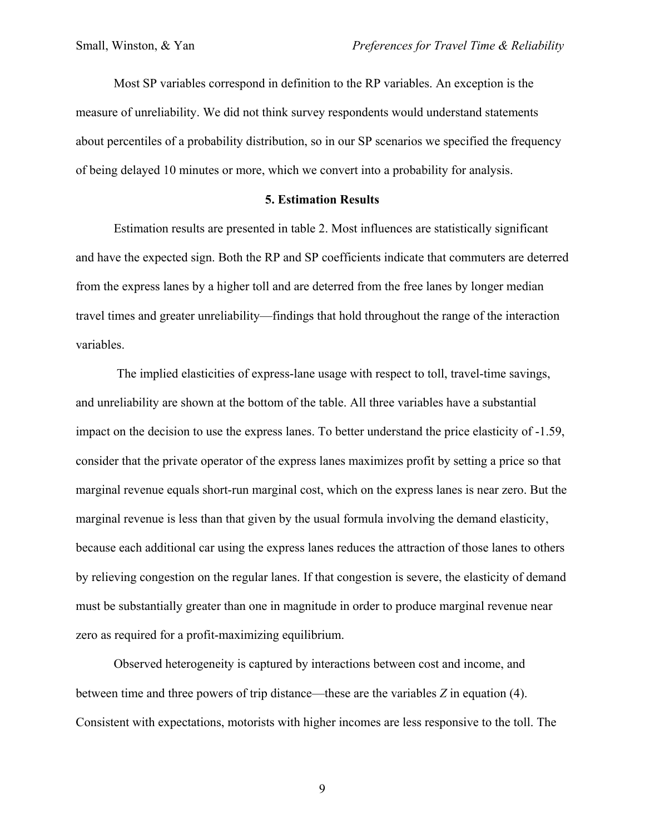Most SP variables correspond in definition to the RP variables. An exception is the measure of unreliability. We did not think survey respondents would understand statements about percentiles of a probability distribution, so in our SP scenarios we specified the frequency of being delayed 10 minutes or more, which we convert into a probability for analysis.

#### **5. Estimation Results**

Estimation results are presented in table 2. Most influences are statistically significant and have the expected sign. Both the RP and SP coefficients indicate that commuters are deterred from the express lanes by a higher toll and are deterred from the free lanes by longer median travel times and greater unreliability—findings that hold throughout the range of the interaction variables.

 The implied elasticities of express-lane usage with respect to toll, travel-time savings, and unreliability are shown at the bottom of the table. All three variables have a substantial impact on the decision to use the express lanes. To better understand the price elasticity of -1.59, consider that the private operator of the express lanes maximizes profit by setting a price so that marginal revenue equals short-run marginal cost, which on the express lanes is near zero. But the marginal revenue is less than that given by the usual formula involving the demand elasticity, because each additional car using the express lanes reduces the attraction of those lanes to others by relieving congestion on the regular lanes. If that congestion is severe, the elasticity of demand must be substantially greater than one in magnitude in order to produce marginal revenue near zero as required for a profit-maximizing equilibrium.

Observed heterogeneity is captured by interactions between cost and income, and between time and three powers of trip distance—these are the variables *Z* in equation (4). Consistent with expectations, motorists with higher incomes are less responsive to the toll. The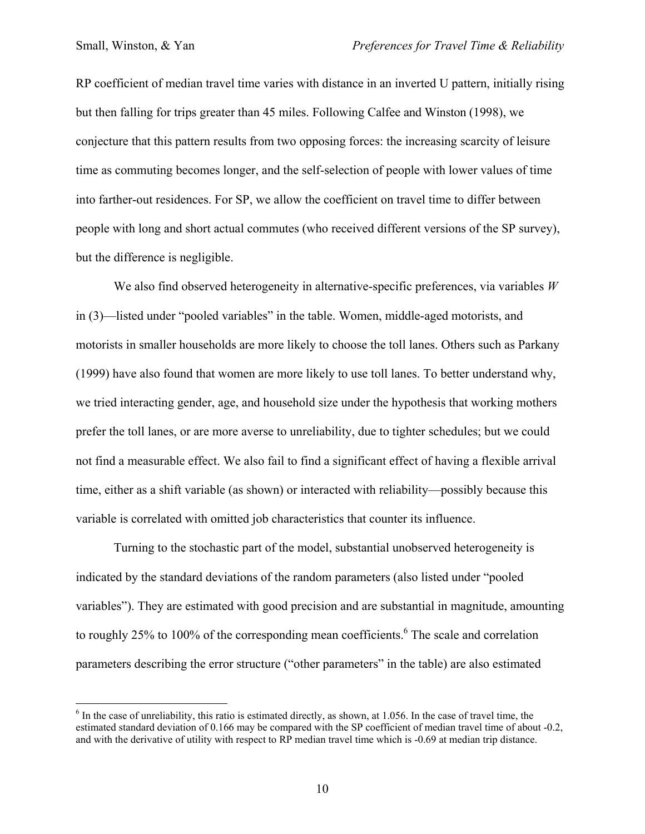$\overline{a}$ 

RP coefficient of median travel time varies with distance in an inverted U pattern, initially rising but then falling for trips greater than 45 miles. Following Calfee and Winston (1998), we conjecture that this pattern results from two opposing forces: the increasing scarcity of leisure time as commuting becomes longer, and the self-selection of people with lower values of time into farther-out residences. For SP, we allow the coefficient on travel time to differ between people with long and short actual commutes (who received different versions of the SP survey), but the difference is negligible.

We also find observed heterogeneity in alternative-specific preferences, via variables *W* in (3)—listed under "pooled variables" in the table. Women, middle-aged motorists, and motorists in smaller households are more likely to choose the toll lanes. Others such as Parkany (1999) have also found that women are more likely to use toll lanes. To better understand why, we tried interacting gender, age, and household size under the hypothesis that working mothers prefer the toll lanes, or are more averse to unreliability, due to tighter schedules; but we could not find a measurable effect. We also fail to find a significant effect of having a flexible arrival time, either as a shift variable (as shown) or interacted with reliability—possibly because this variable is correlated with omitted job characteristics that counter its influence.

Turning to the stochastic part of the model, substantial unobserved heterogeneity is indicated by the standard deviations of the random parameters (also listed under "pooled variables"). They are estimated with good precision and are substantial in magnitude, amounting to roughly 25% to 100% of the corresponding mean coefficients.  $6$  The scale and correlation parameters describing the error structure ("other parameters" in the table) are also estimated

 $6$  In the case of unreliability, this ratio is estimated directly, as shown, at 1.056. In the case of travel time, the estimated standard deviation of 0.166 may be compared with the SP coefficient of median travel time of about -0.2, and with the derivative of utility with respect to RP median travel time which is -0.69 at median trip distance.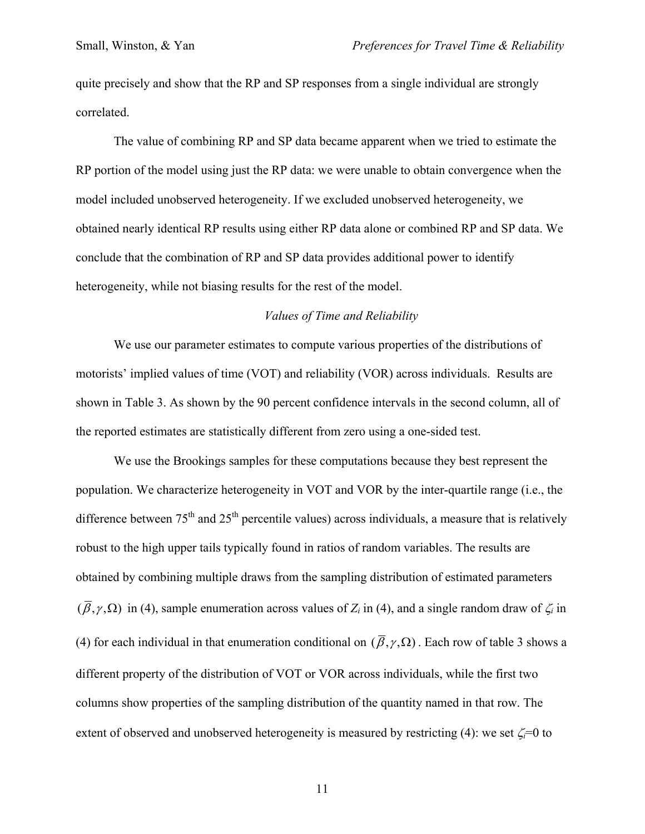quite precisely and show that the RP and SP responses from a single individual are strongly correlated.

The value of combining RP and SP data became apparent when we tried to estimate the RP portion of the model using just the RP data: we were unable to obtain convergence when the model included unobserved heterogeneity. If we excluded unobserved heterogeneity, we obtained nearly identical RP results using either RP data alone or combined RP and SP data. We conclude that the combination of RP and SP data provides additional power to identify heterogeneity, while not biasing results for the rest of the model.

## *Values of Time and Reliability*

We use our parameter estimates to compute various properties of the distributions of motorists' implied values of time (VOT) and reliability (VOR) across individuals. Results are shown in Table 3. As shown by the 90 percent confidence intervals in the second column, all of the reported estimates are statistically different from zero using a one-sided test.

We use the Brookings samples for these computations because they best represent the population. We characterize heterogeneity in VOT and VOR by the inter-quartile range (i.e., the difference between  $75<sup>th</sup>$  and  $25<sup>th</sup>$  percentile values) across individuals, a measure that is relatively robust to the high upper tails typically found in ratios of random variables. The results are obtained by combining multiple draws from the sampling distribution of estimated parameters  $(\bar{\beta}, \gamma, \Omega)$  in (4), sample enumeration across values of  $Z_i$  in (4), and a single random draw of  $\zeta_i$  in (4) for each individual in that enumeration conditional on  $(\bar{\beta}, \gamma, \Omega)$ . Each row of table 3 shows a different property of the distribution of VOT or VOR across individuals, while the first two columns show properties of the sampling distribution of the quantity named in that row. The extent of observed and unobserved heterogeneity is measured by restricting (4): we set  $\zeta$ =0 to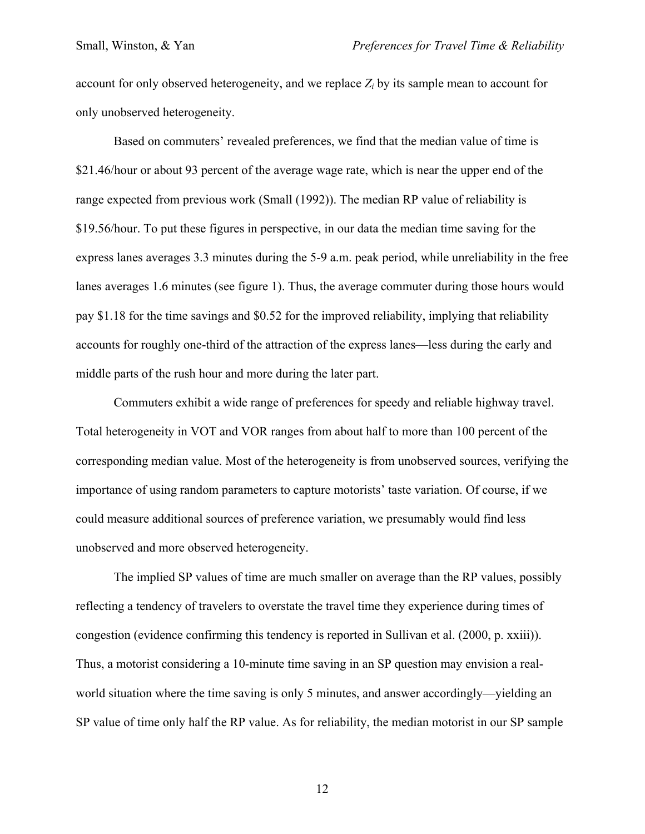account for only observed heterogeneity, and we replace  $Z_i$  by its sample mean to account for only unobserved heterogeneity.

Based on commuters' revealed preferences, we find that the median value of time is \$21.46/hour or about 93 percent of the average wage rate, which is near the upper end of the range expected from previous work (Small (1992)). The median RP value of reliability is \$19.56/hour. To put these figures in perspective, in our data the median time saving for the express lanes averages 3.3 minutes during the 5-9 a.m. peak period, while unreliability in the free lanes averages 1.6 minutes (see figure 1). Thus, the average commuter during those hours would pay \$1.18 for the time savings and \$0.52 for the improved reliability, implying that reliability accounts for roughly one-third of the attraction of the express lanes—less during the early and middle parts of the rush hour and more during the later part.

Commuters exhibit a wide range of preferences for speedy and reliable highway travel. Total heterogeneity in VOT and VOR ranges from about half to more than 100 percent of the corresponding median value. Most of the heterogeneity is from unobserved sources, verifying the importance of using random parameters to capture motorists' taste variation. Of course, if we could measure additional sources of preference variation, we presumably would find less unobserved and more observed heterogeneity.

The implied SP values of time are much smaller on average than the RP values, possibly reflecting a tendency of travelers to overstate the travel time they experience during times of congestion (evidence confirming this tendency is reported in Sullivan et al. (2000, p. xxiii)). Thus, a motorist considering a 10-minute time saving in an SP question may envision a realworld situation where the time saving is only 5 minutes, and answer accordingly—yielding an SP value of time only half the RP value. As for reliability, the median motorist in our SP sample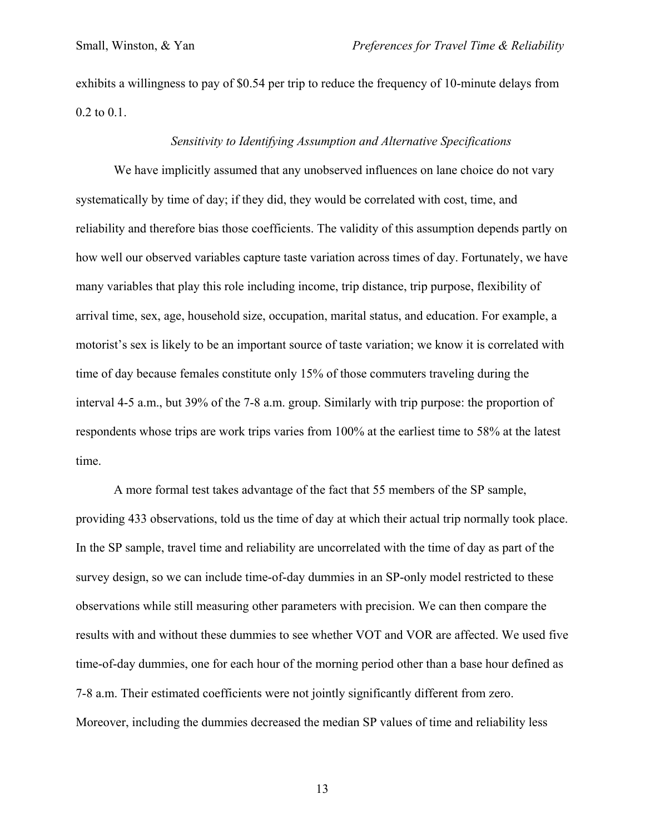exhibits a willingness to pay of \$0.54 per trip to reduce the frequency of 10-minute delays from 0.2 to 0.1.

#### *Sensitivity to Identifying Assumption and Alternative Specifications*

We have implicitly assumed that any unobserved influences on lane choice do not vary systematically by time of day; if they did, they would be correlated with cost, time, and reliability and therefore bias those coefficients. The validity of this assumption depends partly on how well our observed variables capture taste variation across times of day. Fortunately, we have many variables that play this role including income, trip distance, trip purpose, flexibility of arrival time, sex, age, household size, occupation, marital status, and education. For example, a motorist's sex is likely to be an important source of taste variation; we know it is correlated with time of day because females constitute only 15% of those commuters traveling during the interval 4-5 a.m., but 39% of the 7-8 a.m. group. Similarly with trip purpose: the proportion of respondents whose trips are work trips varies from 100% at the earliest time to 58% at the latest time.

 A more formal test takes advantage of the fact that 55 members of the SP sample, providing 433 observations, told us the time of day at which their actual trip normally took place. In the SP sample, travel time and reliability are uncorrelated with the time of day as part of the survey design, so we can include time-of-day dummies in an SP-only model restricted to these observations while still measuring other parameters with precision. We can then compare the results with and without these dummies to see whether VOT and VOR are affected. We used five time-of-day dummies, one for each hour of the morning period other than a base hour defined as 7-8 a.m. Their estimated coefficients were not jointly significantly different from zero. Moreover, including the dummies decreased the median SP values of time and reliability less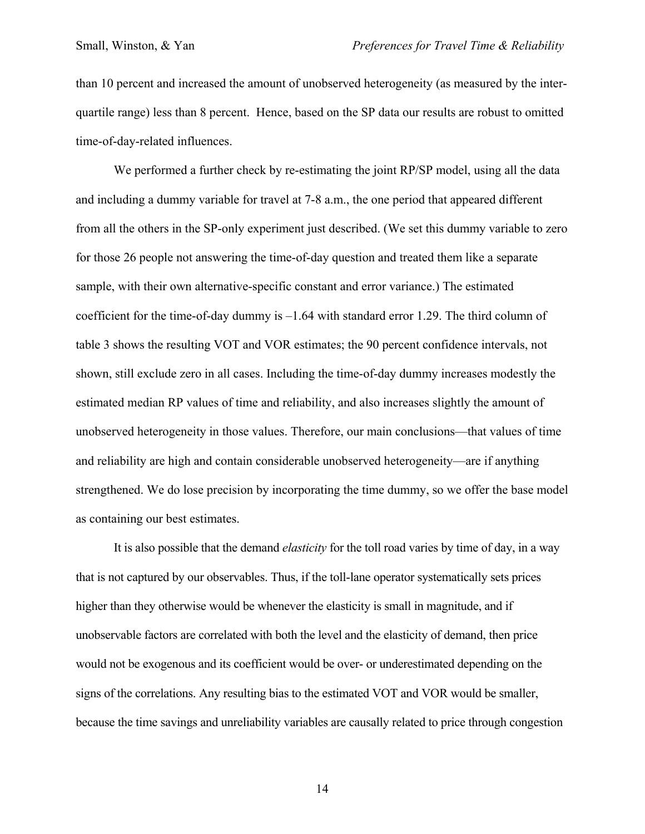than 10 percent and increased the amount of unobserved heterogeneity (as measured by the interquartile range) less than 8 percent. Hence, based on the SP data our results are robust to omitted time-of-day-related influences.

We performed a further check by re-estimating the joint RP/SP model, using all the data and including a dummy variable for travel at 7-8 a.m., the one period that appeared different from all the others in the SP-only experiment just described. (We set this dummy variable to zero for those 26 people not answering the time-of-day question and treated them like a separate sample, with their own alternative-specific constant and error variance.) The estimated coefficient for the time-of-day dummy is –1.64 with standard error 1.29. The third column of table 3 shows the resulting VOT and VOR estimates; the 90 percent confidence intervals, not shown, still exclude zero in all cases. Including the time-of-day dummy increases modestly the estimated median RP values of time and reliability, and also increases slightly the amount of unobserved heterogeneity in those values. Therefore, our main conclusions—that values of time and reliability are high and contain considerable unobserved heterogeneity—are if anything strengthened. We do lose precision by incorporating the time dummy, so we offer the base model as containing our best estimates.

It is also possible that the demand *elasticity* for the toll road varies by time of day, in a way that is not captured by our observables. Thus, if the toll-lane operator systematically sets prices higher than they otherwise would be whenever the elasticity is small in magnitude, and if unobservable factors are correlated with both the level and the elasticity of demand, then price would not be exogenous and its coefficient would be over- or underestimated depending on the signs of the correlations. Any resulting bias to the estimated VOT and VOR would be smaller, because the time savings and unreliability variables are causally related to price through congestion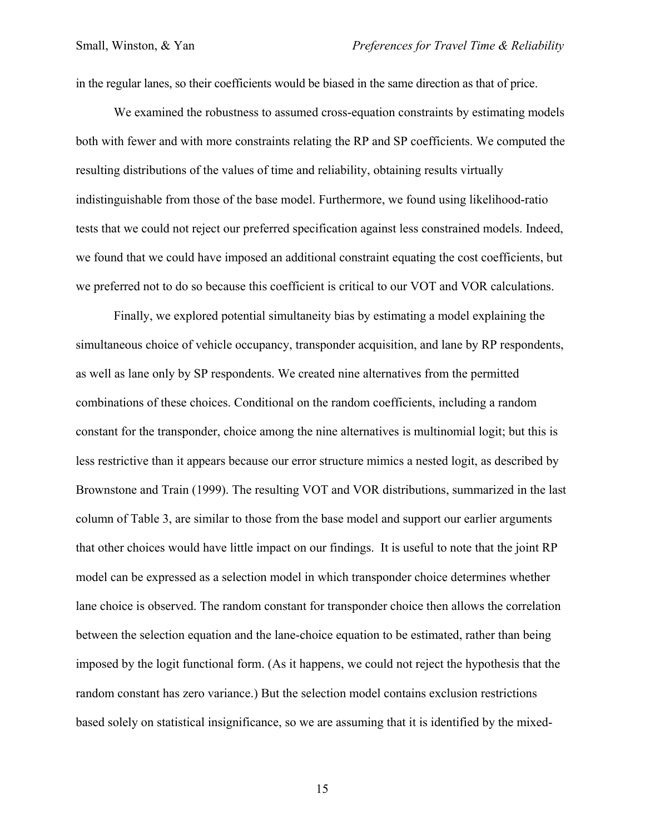in the regular lanes, so their coefficients would be biased in the same direction as that of price.

We examined the robustness to assumed cross-equation constraints by estimating models both with fewer and with more constraints relating the RP and SP coefficients. We computed the resulting distributions of the values of time and reliability, obtaining results virtually indistinguishable from those of the base model. Furthermore, we found using likelihood-ratio tests that we could not reject our preferred specification against less constrained models. Indeed, we found that we could have imposed an additional constraint equating the cost coefficients, but we preferred not to do so because this coefficient is critical to our VOT and VOR calculations.

 Finally, we explored potential simultaneity bias by estimating a model explaining the simultaneous choice of vehicle occupancy, transponder acquisition, and lane by RP respondents, as well as lane only by SP respondents. We created nine alternatives from the permitted combinations of these choices. Conditional on the random coefficients, including a random constant for the transponder, choice among the nine alternatives is multinomial logit; but this is less restrictive than it appears because our error structure mimics a nested logit, as described by Brownstone and Train (1999). The resulting VOT and VOR distributions, summarized in the last column of Table 3, are similar to those from the base model and support our earlier arguments that other choices would have little impact on our findings. It is useful to note that the joint RP model can be expressed as a selection model in which transponder choice determines whether lane choice is observed. The random constant for transponder choice then allows the correlation between the selection equation and the lane-choice equation to be estimated, rather than being imposed by the logit functional form. (As it happens, we could not reject the hypothesis that the random constant has zero variance.) But the selection model contains exclusion restrictions based solely on statistical insignificance, so we are assuming that it is identified by the mixed-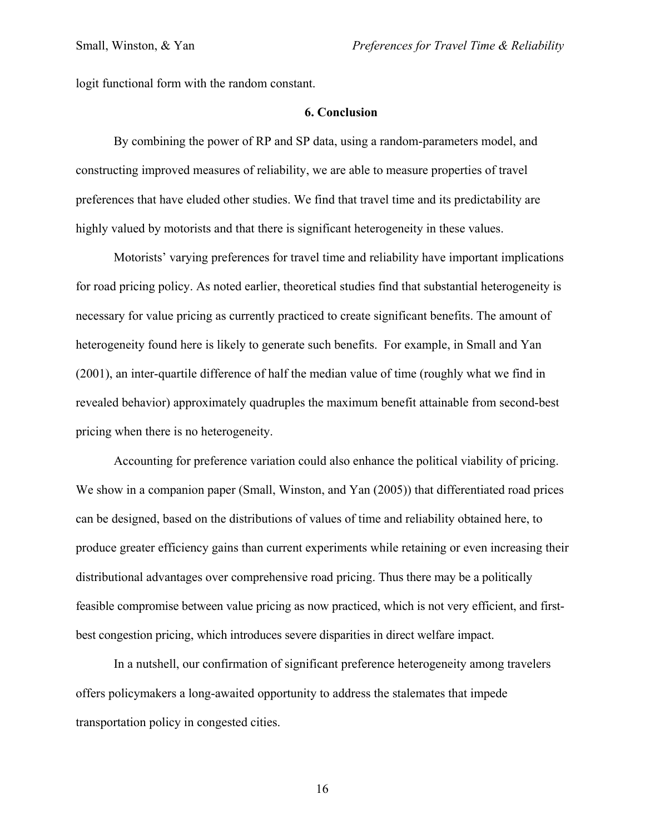logit functional form with the random constant.

### **6. Conclusion**

By combining the power of RP and SP data, using a random-parameters model, and constructing improved measures of reliability, we are able to measure properties of travel preferences that have eluded other studies. We find that travel time and its predictability are highly valued by motorists and that there is significant heterogeneity in these values.

Motorists' varying preferences for travel time and reliability have important implications for road pricing policy. As noted earlier, theoretical studies find that substantial heterogeneity is necessary for value pricing as currently practiced to create significant benefits. The amount of heterogeneity found here is likely to generate such benefits. For example, in Small and Yan (2001), an inter-quartile difference of half the median value of time (roughly what we find in revealed behavior) approximately quadruples the maximum benefit attainable from second-best pricing when there is no heterogeneity.

Accounting for preference variation could also enhance the political viability of pricing. We show in a companion paper (Small, Winston, and Yan (2005)) that differentiated road prices can be designed, based on the distributions of values of time and reliability obtained here, to produce greater efficiency gains than current experiments while retaining or even increasing their distributional advantages over comprehensive road pricing. Thus there may be a politically feasible compromise between value pricing as now practiced, which is not very efficient, and firstbest congestion pricing, which introduces severe disparities in direct welfare impact.

In a nutshell, our confirmation of significant preference heterogeneity among travelers offers policymakers a long-awaited opportunity to address the stalemates that impede transportation policy in congested cities.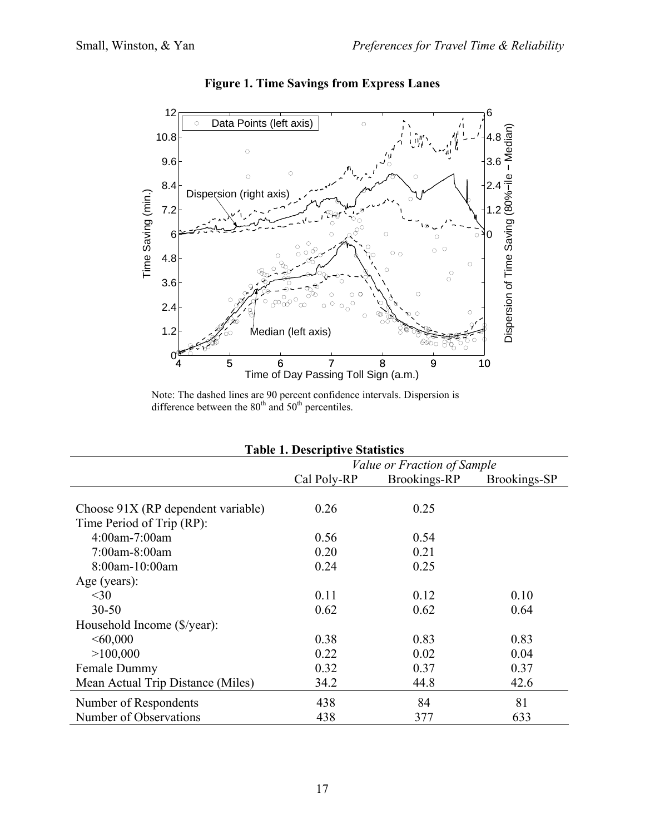

**Figure 1. Time Savings from Express Lanes**

Note: The dashed lines are 90 percent confidence intervals. Dispersion is difference between the  $80<sup>th</sup>$  and  $50<sup>th</sup>$  percentiles.

| <b>Table 1. Descriptive Statistics</b> |                             |              |              |  |  |  |  |
|----------------------------------------|-----------------------------|--------------|--------------|--|--|--|--|
|                                        | Value or Fraction of Sample |              |              |  |  |  |  |
|                                        | Cal Poly-RP                 | Brookings-RP | Brookings-SP |  |  |  |  |
|                                        |                             |              |              |  |  |  |  |
| Choose 91X (RP dependent variable)     | 0.26                        | 0.25         |              |  |  |  |  |
| Time Period of Trip (RP):              |                             |              |              |  |  |  |  |
| 4:00am-7:00am                          | 0.56                        | 0.54         |              |  |  |  |  |
| 7:00am-8:00am                          | 0.20                        | 0.21         |              |  |  |  |  |
| 8:00am-10:00am                         | 0.24                        | 0.25         |              |  |  |  |  |
| Age (years):                           |                             |              |              |  |  |  |  |
| $30$                                   | 0.11                        | 0.12         | 0.10         |  |  |  |  |
| $30 - 50$                              | 0.62                        | 0.62         | 0.64         |  |  |  |  |
| Household Income (\$/year):            |                             |              |              |  |  |  |  |
| <60,000                                | 0.38                        | 0.83         | 0.83         |  |  |  |  |
| >100,000                               | 0.22                        | 0.02         | 0.04         |  |  |  |  |
| Female Dummy                           | 0.32                        | 0.37         | 0.37         |  |  |  |  |
| Mean Actual Trip Distance (Miles)      | 34.2                        | 44.8         | 42.6         |  |  |  |  |
| Number of Respondents                  | 438                         | 84           | 81           |  |  |  |  |
| Number of Observations                 | 438                         | 377          | 633          |  |  |  |  |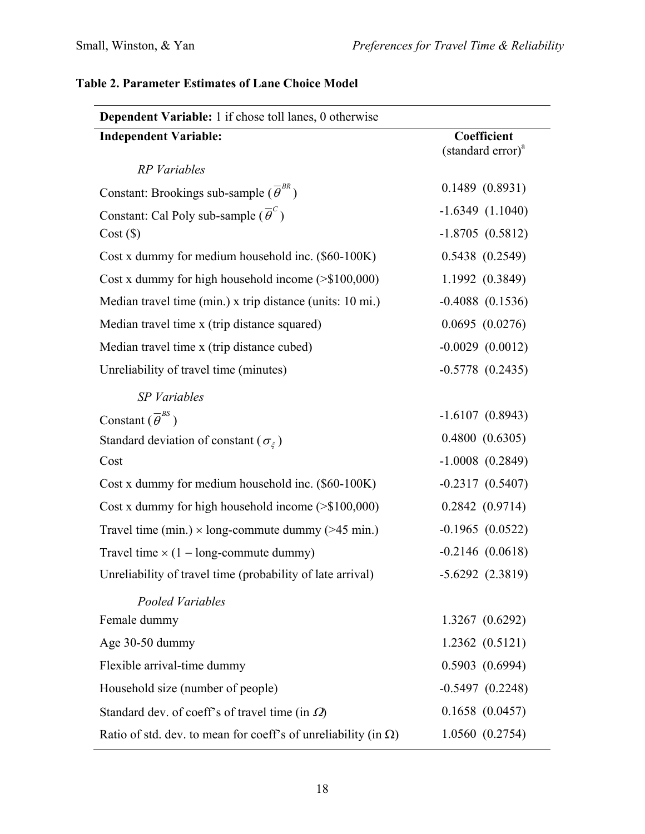| <b>Dependent Variable:</b> 1 if chose toll lanes, 0 otherwise          |                                              |  |  |  |  |
|------------------------------------------------------------------------|----------------------------------------------|--|--|--|--|
| <b>Independent Variable:</b>                                           | Coefficient<br>(standard error) <sup>a</sup> |  |  |  |  |
| <b>RP</b> Variables                                                    |                                              |  |  |  |  |
| Constant: Brookings sub-sample ( $\overline{\theta}^{BR}$ )            | 0.1489(0.8931)                               |  |  |  |  |
| Constant: Cal Poly sub-sample $(\overline{\theta}^c)$                  | $-1.6349(1.1040)$                            |  |  |  |  |
| Cost(S)                                                                | $-1.8705(0.5812)$                            |  |  |  |  |
| Cost x dummy for medium household inc. (\$60-100K)                     | 0.5438(0.2549)                               |  |  |  |  |
| Cost x dummy for high household income $($ > \$100,000)                | 1.1992 (0.3849)                              |  |  |  |  |
| Median travel time (min.) x trip distance (units: 10 mi.)              | $-0.4088$ $(0.1536)$                         |  |  |  |  |
| Median travel time x (trip distance squared)                           | 0.0695(0.0276)                               |  |  |  |  |
| Median travel time x (trip distance cubed)                             | $-0.0029$ $(0.0012)$                         |  |  |  |  |
| Unreliability of travel time (minutes)                                 | $-0.5778(0.2435)$                            |  |  |  |  |
| SP Variables                                                           |                                              |  |  |  |  |
| Constant $(\overline{\theta}^{BS})$                                    | $-1.6107(0.8943)$                            |  |  |  |  |
| Standard deviation of constant ( $\sigma_{\xi}$ )                      | 0.4800(0.6305)                               |  |  |  |  |
| Cost                                                                   | $-1.0008$ $(0.2849)$                         |  |  |  |  |
| Cost x dummy for medium household inc. (\$60-100K)                     | $-0.2317(0.5407)$                            |  |  |  |  |
| Cost x dummy for high household income $(>\$100,000)$                  | 0.2842(0.9714)                               |  |  |  |  |
| Travel time (min.) $\times$ long-commute dummy (>45 min.)              | $-0.1965(0.0522)$                            |  |  |  |  |
| Travel time $\times$ (1 – long-commute dummy)                          | $-0.2146(0.0618)$                            |  |  |  |  |
| Unreliability of travel time (probability of late arrival)             | $-5.6292(2.3819)$                            |  |  |  |  |
| Pooled Variables                                                       |                                              |  |  |  |  |
| Female dummy                                                           | 1.3267 (0.6292)                              |  |  |  |  |
| Age 30-50 dummy                                                        | 1.2362(0.5121)                               |  |  |  |  |
| Flexible arrival-time dummy                                            | 0.5903(0.6994)                               |  |  |  |  |
| Household size (number of people)                                      | $-0.5497(0.2248)$                            |  |  |  |  |
| Standard dev. of coeff's of travel time (in $\Omega$ )                 | 0.1658(0.0457)                               |  |  |  |  |
| Ratio of std. dev. to mean for coeff's of unreliability (in $\Omega$ ) | 1.0560(0.2754)                               |  |  |  |  |

# **Table 2. Parameter Estimates of Lane Choice Model**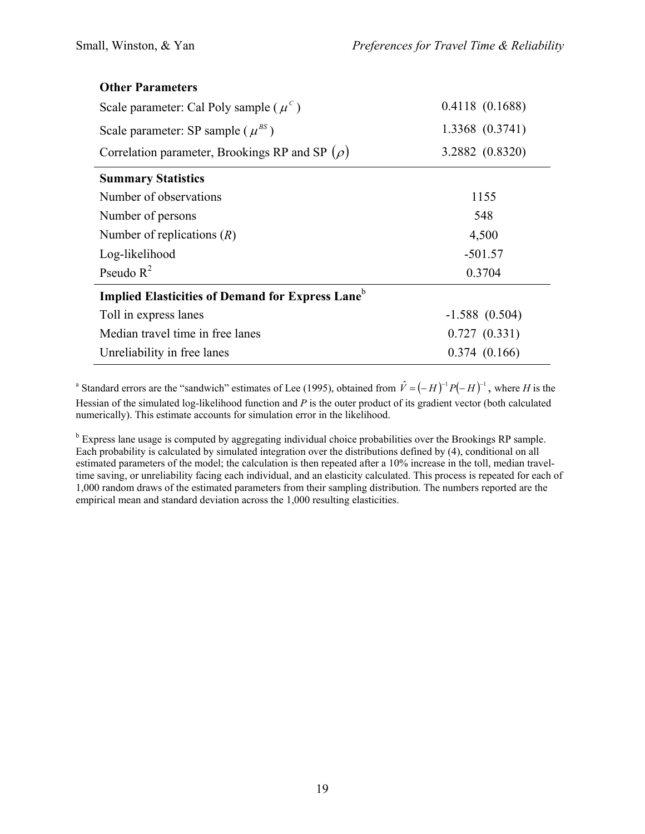| <b>Other Parameters</b>                                             |                 |  |  |  |
|---------------------------------------------------------------------|-----------------|--|--|--|
| Scale parameter: Cal Poly sample ( $\mu^c$ )                        | 0.4118(0.1688)  |  |  |  |
| Scale parameter: SP sample ( $\mu^{BS}$ )                           | 1.3368 (0.3741) |  |  |  |
| Correlation parameter, Brookings RP and SP $(\rho)$                 | 3.2882 (0.8320) |  |  |  |
| <b>Summary Statistics</b>                                           |                 |  |  |  |
| Number of observations                                              | 1155            |  |  |  |
| Number of persons                                                   | 548             |  |  |  |
| Number of replications $(R)$                                        | 4,500           |  |  |  |
| Log-likelihood                                                      | $-501.57$       |  |  |  |
| Pseudo $R^2$                                                        | 0.3704          |  |  |  |
| <b>Implied Elasticities of Demand for Express Lane</b> <sup>b</sup> |                 |  |  |  |
| Toll in express lanes                                               | $-1.588(0.504)$ |  |  |  |
| Median travel time in free lanes                                    | 0.727(0.331)    |  |  |  |
| Unreliability in free lanes                                         | 0.374(0.166)    |  |  |  |

<sup>a</sup> Standard errors are the "sandwich" estimates of Lee (1995), obtained from  $\hat{V} = (-H)^{-1} P(-H)^{-1}$ , where *H* is the Hessian of the simulated log-likelihood function and *P* is the outer product of its gradient vector (both calculated numerically). This estimate accounts for simulation error in the likelihood.

<sup>b</sup> Express lane usage is computed by aggregating individual choice probabilities over the Brookings RP sample. Each probability is calculated by simulated integration over the distributions defined by (4), conditional on all estimated parameters of the model; the calculation is then repeated after a 10% increase in the toll, median traveltime saving, or unreliability facing each individual, and an elasticity calculated. This process is repeated for each of 1,000 random draws of the estimated parameters from their sampling distribution. The numbers reported are the empirical mean and standard deviation across the 1,000 resulting elasticities.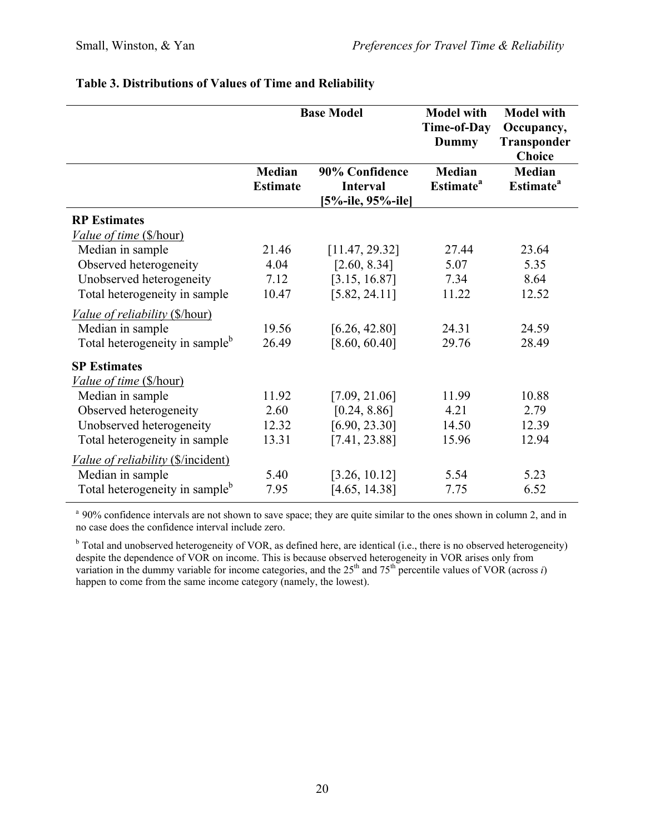|                                                                                                  | <b>Base Model</b>                |                                                        | <b>Model with</b><br>Time-of-Day<br><b>Dummy</b> | <b>Model with</b><br>Occupancy,<br>Transponder<br><b>Choice</b> |
|--------------------------------------------------------------------------------------------------|----------------------------------|--------------------------------------------------------|--------------------------------------------------|-----------------------------------------------------------------|
|                                                                                                  | <b>Median</b><br><b>Estimate</b> | 90% Confidence<br><b>Interval</b><br>[5%-ile, 95%-ile] | <b>Median</b><br><b>Estimate</b> <sup>a</sup>    | <b>Median</b><br><b>Estimate</b> <sup>a</sup>                   |
| <b>RP Estimates</b><br><i><u>Value of time (\$/hour)</u></i>                                     |                                  |                                                        |                                                  |                                                                 |
| Median in sample<br>Observed heterogeneity                                                       | 21.46<br>4.04                    | [11.47, 29.32]<br>[2.60, 8.34]                         | 27.44<br>5.07                                    | 23.64<br>5.35                                                   |
| Unobserved heterogeneity<br>Total heterogeneity in sample                                        | 7.12<br>10.47                    | [3.15, 16.87]<br>[5.82, 24.11]                         | 7.34<br>11.22                                    | 8.64<br>12.52                                                   |
| Value of reliability (\$/hour)<br>Median in sample<br>Total heterogeneity in sample <sup>b</sup> | 19.56<br>26.49                   | [6.26, 42.80]<br>[8.60, 60.40]                         | 24.31<br>29.76                                   | 24.59<br>28.49                                                  |
| <b>SP Estimates</b><br>Value of time (\$/hour)                                                   |                                  |                                                        |                                                  |                                                                 |
| Median in sample<br>Observed heterogeneity<br>Unobserved heterogeneity                           | 11.92<br>2.60<br>12.32           | [7.09, 21.06]<br>[0.24, 8.86]<br>[6.90, 23.30]         | 11.99<br>4.21<br>14.50                           | 10.88<br>2.79<br>12.39                                          |
| Total heterogeneity in sample<br><i>Value of reliability</i> (\$/incident)                       | 13.31                            | [7.41, 23.88]                                          | 15.96                                            | 12.94                                                           |
| Median in sample<br>Total heterogeneity in sample <sup>b</sup>                                   | 5.40<br>7.95                     | [3.26, 10.12]<br>[4.65, 14.38]                         | 5.54<br>7.75                                     | 5.23<br>6.52                                                    |

## **Table 3. Distributions of Values of Time and Reliability**

<sup>a</sup> 90% confidence intervals are not shown to save space; they are quite similar to the ones shown in column 2, and in no case does the confidence interval include zero.

<sup>b</sup> Total and unobserved heterogeneity of VOR, as defined here, are identical (i.e., there is no observed heterogeneity) despite the dependence of VOR on income. This is because observed heterogeneity in VOR arises only from variation in the dummy variable for income categories, and the  $25<sup>th</sup>$  and  $75<sup>th</sup>$  percentile values of VOR (across  $i$ ) happen to come from the same income category (namely, the lowest).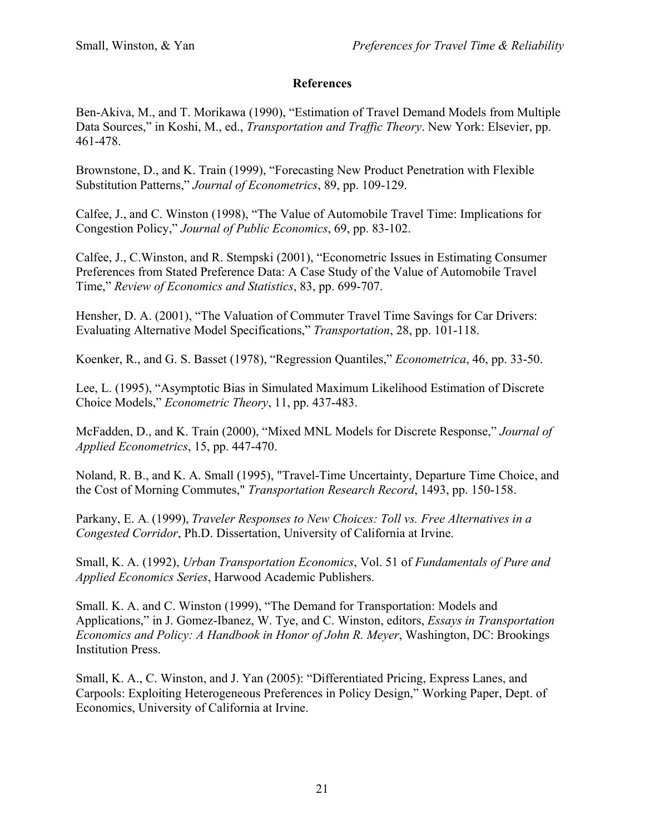## **References**

Ben-Akiva, M., and T. Morikawa (1990), "Estimation of Travel Demand Models from Multiple Data Sources," in Koshi, M., ed., *Transportation and Traffic Theory*. New York: Elsevier, pp. 461-478.

Brownstone, D., and K. Train (1999), "Forecasting New Product Penetration with Flexible Substitution Patterns," *Journal of Econometrics*, 89, pp. 109-129.

Calfee, J., and C. Winston (1998), "The Value of Automobile Travel Time: Implications for Congestion Policy," *Journal of Public Economics*, 69, pp. 83-102.

Calfee, J., C.Winston, and R. Stempski (2001), "Econometric Issues in Estimating Consumer Preferences from Stated Preference Data: A Case Study of the Value of Automobile Travel Time," *Review of Economics and Statistics*, 83, pp. 699-707.

Hensher, D. A. (2001), "The Valuation of Commuter Travel Time Savings for Car Drivers: Evaluating Alternative Model Specifications," *Transportation*, 28, pp. 101-118.

Koenker, R., and G. S. Basset (1978), "Regression Quantiles," *Econometrica*, 46, pp. 33-50.

Lee, L. (1995), "Asymptotic Bias in Simulated Maximum Likelihood Estimation of Discrete Choice Models," *Econometric Theory*, 11, pp. 437-483.

McFadden, D., and K. Train (2000), "Mixed MNL Models for Discrete Response," *Journal of Applied Econometrics*, 15, pp. 447-470.

Noland, R. B., and K. A. Small (1995), "Travel-Time Uncertainty, Departure Time Choice, and the Cost of Morning Commutes," *Transportation Research Record*, 1493, pp. 150-158.

Parkany, E. A. (1999), *Traveler Responses to New Choices: Toll vs. Free Alternatives in a Congested Corridor*, Ph.D. Dissertation, University of California at Irvine.

Small, K. A. (1992), *Urban Transportation Economics*, Vol. 51 of *Fundamentals of Pure and Applied Economics Series*, Harwood Academic Publishers.

Small. K. A. and C. Winston (1999), "The Demand for Transportation: Models and Applications," in J. Gomez-Ibanez, W. Tye, and C. Winston, editors, *Essays in Transportation Economics and Policy: A Handbook in Honor of John R. Meyer*, Washington, DC: Brookings Institution Press.

Small, K. A., C. Winston, and J. Yan (2005): "Differentiated Pricing, Express Lanes, and Carpools: Exploiting Heterogeneous Preferences in Policy Design," Working Paper, Dept. of Economics, University of California at Irvine.